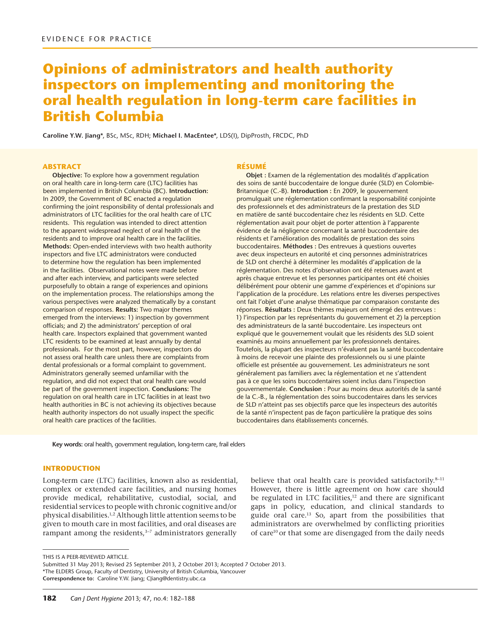# **Opinions of administrators and health authority inspectors on implementing and monitoring the oral health regulation in long-term care facilities in British Columbia**

**Caroline Y.W. Jiang\***, BSc, MSc, RDH; **Michael I. MacEntee\***, LDS(I), DipProsth, FRCDC, PhD

#### **ABSTRACT**

**Objective:** To explore how a government regulation on oral health care in long-term care (LTC) facilities has been implemented in British Columbia (BC). **Introduction:** In 2009, the Government of BC enacted a regulation confirming the joint responsibility of dental professionals and administrators of LTC facilities for the oral health care of LTC residents. This regulation was intended to direct attention to the apparent widespread neglect of oral health of the residents and to improve oral health care in the facilities. **Methods:** Open-ended interviews with two health authority inspectors and five LTC administrators were conducted to determine how the regulation has been implemented in the facilities. Observational notes were made before and after each interview, and participants were selected purposefully to obtain a range of experiences and opinions on the implementation process. The relationships among the various perspectives were analyzed thematically by a constant comparison of responses. **Results:** Two major themes emerged from the interviews: 1) inspection by government officials; and 2) the administrators' perception of oral health care. Inspectors explained that government wanted LTC residents to be examined at least annually by dental professionals. For the most part, however, inspectors do not assess oral health care unless there are complaints from dental professionals or a formal complaint to government. Administrators generally seemed unfamiliar with the regulation, and did not expect that oral health care would be part of the government inspection. **Conclusions:** The regulation on oral health care in LTC facilities in at least two health authorities in BC is not achieving its objectives because health authority inspectors do not usually inspect the specific oral health care practices of the facilities.

#### **RÉSUMÉ**

**Objet :** Examen de la réglementation des modalités d'application des soins de santé buccodentaire de longue durée (SLD) en Colombie-Britannique (C.-B). **Introduction :** En 2009, le gouvernement promulguait une réglementation confirmant la responsabilité conjointe des professionnels et des administrateurs de la prestation des SLD en matière de santé buccodentaire chez les résidents en SLD. Cette réglementation avait pour objet de porter attention à l'apparente évidence de la négligence concernant la santé buccodentaire des résidents et l'amélioration des modalités de prestation des soins buccodentaires. **Méthodes :** Des entrevues à questions ouvertes avec deux inspecteurs en autorité et cinq personnes administratrices de SLD ont cherché à déterminer les modalités d'application de la réglementation. Des notes d'observation ont été retenues avant et après chaque entrevue et les personnes participantes ont été choisies délibérément pour obtenir une gamme d'expériences et d'opinions sur l'application de la procédure. Les relations entre les diverses perspectives ont fait l'objet d'une analyse thématique par comparaison constante des réponses. **Résultats :** Deux thèmes majeurs ont émergé des entrevues : 1) l'inspection par les représentants du gouvernement et 2) la perception des administrateurs de la santé buccodentaire. Les inspecteurs ont expliqué que le gouvernement voulait que les résidents des SLD soient examinés au moins annuellement par les professionnels dentaires. Toutefois, la plupart des inspecteurs n'évaluent pas la santé buccodentaire à moins de recevoir une plainte des professionnels ou si une plainte officielle est présentée au gouvernement. Les administrateurs ne sont généralement pas familiers avec la réglementation et ne s'attendent pas à ce que les soins buccodentaires soient inclus dans l'inspection gouvernementale. **Conclusion :** Pour au moins deux autorités de la santé de la C.-B., la réglementation des soins buccodentaires dans les services de SLD n'atteint pas ses objectifs parce que les inspecteurs des autorités de la santé n'inspectent pas de façon particulière la pratique des soins buccodentaires dans établissements concernés.

**Key words:** oral health, government regulation, long-term care, frail elders

#### **INTRODUCTION**

Long-term care (LTC) facilities, known also as residential, complex or extended care facilities, and nursing homes provide medical, rehabilitative, custodial, social, and residential services to people with chronic cognitive and/or physical disabilities.<sup>1,2</sup> Although little attention seems to be given to mouth care in most facilities, and oral diseases are rampant among the residents, $3-7$  administrators generally

believe that oral health care is provided satisfactorily.<sup>8-11</sup> However, there is little agreement on how care should be regulated in LTC facilities, $12$  and there are significant gaps in policy, education, and clinical standards to guide oral care.13 So, apart from the possibilities that administrators are overwhelmed by conflicting priorities of care<sup>10</sup> or that some are disengaged from the daily needs

THIS IS A PEER-REVIEWED ARTICLE.

Submitted 31 May 2013; Revised 25 September 2013, 2 October 2013; Accepted 7 October 2013. \*The ELDERS Group, Faculty of Dentistry, University of British Columbia, Vancouver

**Correspondence to:** Caroline Y.W. Jiang; CJiang@dentistry.ubc.ca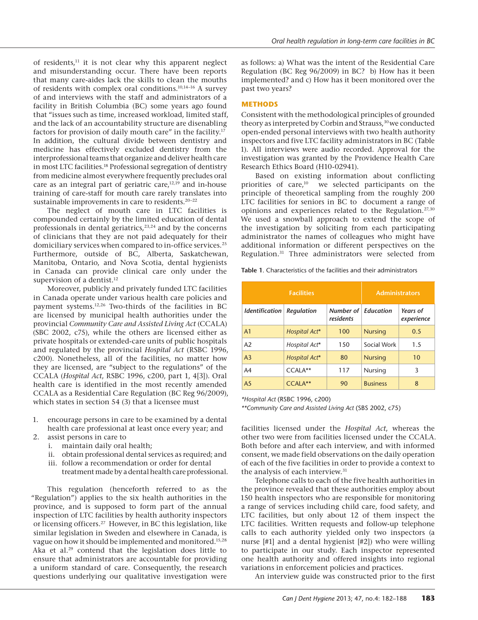of residents, $11$  it is not clear why this apparent neglect and misunderstanding occur. There have been reports that many care-aides lack the skills to clean the mouths of residents with complex oral conditions.10,14–16 A survey of and interviews with the staff and administrators of a facility in British Columbia (BC) some years ago found that "issues such as time, increased workload, limited staff, and the lack of an accountability structure are disenabling factors for provision of daily mouth care" in the facility.<sup>17</sup> In addition, the cultural divide between dentistry and medicine has effectively excluded dentistry from the interprofessional teams that organize and deliver health care in most LTC facilities.18 Professional segregation of dentistry from medicine almost everywhere frequently precludes oral care as an integral part of geriatric care, $12,19$  and in-house training of care-staff for mouth care rarely translates into sustainable improvements in care to residents.<sup>20-22</sup>

The neglect of mouth care in LTC facilities is compounded certainly by the limited education of dental professionals in dental geriatrics,<sup>23,24</sup> and by the concerns of clinicians that they are not paid adequately for their domiciliary services when compared to in-office services.<sup>25</sup> Furthermore, outside of BC, Alberta, Saskatchewan, Manitoba, Ontario, and Nova Scotia, dental hygienists in Canada can provide clinical care only under the supervision of a dentist.<sup>12</sup>

Moreover, publicly and privately funded LTC facilities in Canada operate under various health care policies and payment systems.12,26 Two-thirds of the facilities in BC are licensed by municipal health authorities under the provincial *Community Care and Assisted Living Act* (CCALA) (SBC 2002, c75), while the others are licensed either as private hospitals or extended-care units of public hospitals and regulated by the provincial *Hospital Act* (RSBC 1996, c200). Nonetheless, all of the facilities, no matter how they are licensed, are "subject to the regulations" of the CCALA (*Hospital Act*, RSBC 1996, c200, part 1, 4[3]). Oral health care is identified in the most recently amended CCALA as a Residential Care Regulation (BC Reg 96/2009), which states in section 54 (3) that a licensee must

- 1. encourage persons in care to be examined by a dental health care professional at least once every year; and
- 2. assist persons in care to
	- i. maintain daily oral health;
	- ii. obtain professional dental services as required; and
	- iii. follow a recommendation or order for dental treatment made by a dental health care professional.

This regulation (henceforth referred to as the "Regulation") applies to the six health authorities in the province, and is supposed to form part of the annual inspection of LTC facilities by health authority inspectors or licensing officers.27 However, in BC this legislation, like similar legislation in Sweden and elsewhere in Canada, is vague on how it should be implemented and monitored.15,28 Aka et al.29 contend that the legislation does little to ensure that administrators are accountable for providing a uniform standard of care. Consequently, the research questions underlying our qualitative investigation were

as follows: a) What was the intent of the Residential Care Regulation (BC Reg 96/2009) in BC? b) How has it been implemented? and c) How has it been monitored over the past two years?

# **METHODS**

Consistent with the methodological principles of grounded theory as interpreted by Corbin and Strauss,<sup>30</sup> we conducted open-ended personal interviews with two health authority inspectors and five LTC facility administrators in BC (Table 1). All interviews were audio recorded. Approval for the investigation was granted by the Providence Health Care Research Ethics Board (H10-02941).

Based on existing information about conflicting priorities of care,<sup>10</sup> we selected participants on the principle of theoretical sampling from the roughly 200 LTC facilities for seniors in BC to document a range of opinions and experiences related to the Regulation.27,30 We used a snowball approach to extend the scope of the investigation by soliciting from each participating administrator the names of colleagues who might have additional information or different perspectives on the Regulation.31 Three administrators were selected from

**Table 1**. Characteristics of the facilities and their administrators

| <b>Facilities</b>                   |               |                            | <b>Administrators</b> |                        |
|-------------------------------------|---------------|----------------------------|-----------------------|------------------------|
| <i><u><b>Identification</b></u></i> | Regulation    | Number of $ $<br>residents | <b>Fducation</b>      | Years of<br>experience |
| A <sub>1</sub>                      | Hospital Act* | 100                        | <b>Nursing</b>        | 0.5                    |
| A <sub>2</sub>                      | Hospital Act* | 150                        | Social Work           | 1.5                    |
| A <sub>3</sub>                      | Hospital Act* | 80                         | <b>Nursing</b>        | 10                     |
| A4                                  | CCALA**       | 117                        | Nursing               | 3                      |
| A <sub>5</sub>                      | CCALA**       | 90                         | <b>Business</b>       | 8                      |

*\*Hospital Act* (RSBC 1996, c200)

*\*\*Community Care and Assisted Living Act* (SBS 2002, c75)

facilities licensed under the *Hospital Act*, whereas the other two were from facilities licensed under the CCALA. Both before and after each interview, and with informed consent, we made field observations on the daily operation of each of the five facilities in order to provide a context to the analysis of each interview.31

Telephone calls to each of the five health authorities in the province revealed that these authorities employ about 150 health inspectors who are responsible for monitoring a range of services including child care, food safety, and LTC facilities, but only about 12 of them inspect the LTC facilities. Written requests and follow-up telephone calls to each authority yielded only two inspectors (a nurse [#1] and a dental hygienist [#2]) who were willing to participate in our study. Each inspector represented one health authority and offered insights into regional variations in enforcement policies and practices.

An interview guide was constructed prior to the first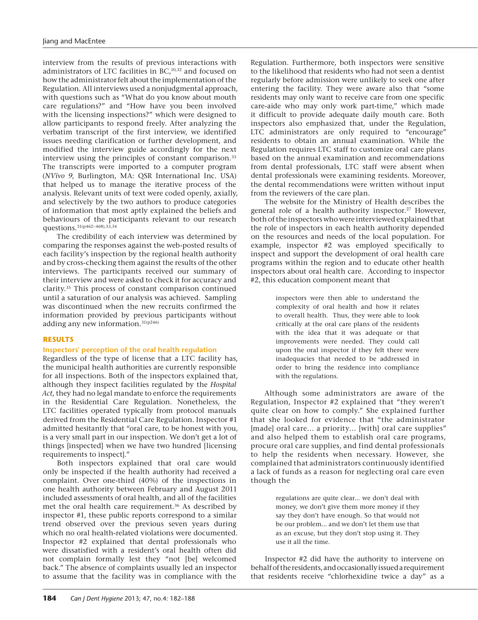interview from the results of previous interactions with administrators of LTC facilities in BC,<sup>10,32</sup> and focused on how the administrator felt about the implementation of the Regulation. All interviews used a nonjudgmental approach, with questions such as "What do you know about mouth care regulations?" and "How have you been involved with the licensing inspections?" which were designed to allow participants to respond freely. After analyzing the verbatim transcript of the first interview, we identified issues needing clarification or further development, and modified the interview guide accordingly for the next interview using the principles of constant comparison.<sup>33</sup> The transcripts were imported to a computer program (*NVivo 9*, Burlington, MA: QSR International Inc. USA) that helped us to manage the iterative process of the analysis. Relevant units of text were coded openly, axially, and selectively by the two authors to produce categories of information that most aptly explained the beliefs and behaviours of the participants relevant to our research questions.31(p462–468),33,34

The credibility of each interview was determined by comparing the responses against the web-posted results of each facility's inspection by the regional health authority and by cross-checking them against the results of the other interviews. The participants received our summary of their interview and were asked to check it for accuracy and clarity.35 This process of constant comparison continued until a saturation of our analysis was achieved. Sampling was discontinued when the new recruits confirmed the information provided by previous participants without adding any new information.  $^{\rm 31(p246)}$ 

## **RESULTS**

# **Inspectors' perception of the oral health regulation**

Regardless of the type of license that a LTC facility has, the municipal health authorities are currently responsible for all inspections. Both of the inspectors explained that, although they inspect facilities regulated by the *Hospital Act*, they had no legal mandate to enforce the requirements in the Residential Care Regulation. Nonetheless, the LTC facilities operated typically from protocol manuals derived from the Residential Care Regulation. Inspector #1 admitted hesitantly that "oral care, to be honest with you, is a very small part in our inspection. We don't get a lot of things [inspected] when we have two hundred [licensing requirements to inspect]."

Both inspectors explained that oral care would only be inspected if the health authority had received a complaint. Over one-third (40%) of the inspections in one health authority between February and August 2011 included assessments of oral health, and all of the facilities met the oral health care requirement.<sup>36</sup> As described by inspector #1, these public reports correspond to a similar trend observed over the previous seven years during which no oral health-related violations were documented. Inspector #2 explained that dental professionals who were dissatisfied with a resident's oral health often did not complain formally lest they "not [be] welcomed back." The absence of complaints usually led an inspector to assume that the facility was in compliance with the

Regulation. Furthermore, both inspectors were sensitive to the likelihood that residents who had not seen a dentist regularly before admission were unlikely to seek one after entering the facility. They were aware also that "some residents may only want to receive care from one specific care-aide who may only work part-time," which made it difficult to provide adequate daily mouth care. Both inspectors also emphasized that, under the Regulation, LTC administrators are only required to "encourage" residents to obtain an annual examination. While the Regulation requires LTC staff to customize oral care plans based on the annual examination and recommendations from dental professionals, LTC staff were absent when dental professionals were examining residents. Moreover, the dental recommendations were written without input from the reviewers of the care plan.

The website for the Ministry of Health describes the general role of a health authority inspector.<sup>27</sup> However, both of the inspectors who were interviewed explained that the role of inspectors in each health authority depended on the resources and needs of the local population. For example, inspector #2 was employed specifically to inspect and support the development of oral health care programs within the region and to educate other health inspectors about oral health care. According to inspector #2, this education component meant that

> inspectors were then able to understand the complexity of oral health and how it relates to overall health. Thus, they were able to look critically at the oral care plans of the residents with the idea that it was adequate or that improvements were needed. They could call upon the oral inspector if they felt there were inadequacies that needed to be addressed in order to bring the residence into compliance with the regulations.

Although some administrators are aware of the Regulation, Inspector #2 explained that "they weren't quite clear on how to comply." She explained further that she looked for evidence that "the administrator [made] oral care… a priority… [with] oral care supplies" and also helped them to establish oral care programs, procure oral care supplies, and find dental professionals to help the residents when necessary. However, she complained that administrators continuously identified a lack of funds as a reason for neglecting oral care even though the

> regulations are quite clear... we don't deal with money, we don't give them more money if they say they don't have enough. So that would not be our problem... and we don't let them use that as an excuse, but they don't stop using it. They use it all the time.

Inspector #2 did have the authority to intervene on behalf of the residents, and occasionally issued a requirement that residents receive "chlorhexidine twice a day" as a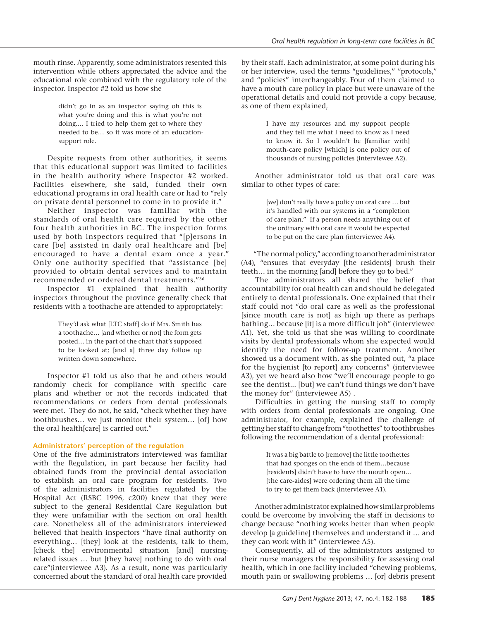mouth rinse. Apparently, some administrators resented this intervention while others appreciated the advice and the educational role combined with the regulatory role of the inspector. Inspector #2 told us how she

> didn't go in as an inspector saying oh this is what you're doing and this is what you're not doing.… I tried to help them get to where they needed to be… so it was more of an educationsupport role.

Despite requests from other authorities, it seems that this educational support was limited to facilities in the health authority where Inspector #2 worked. Facilities elsewhere, she said, funded their own educational programs in oral health care or had to "rely on private dental personnel to come in to provide it."

Neither inspector was familiar with the standards of oral health care required by the other four health authorities in BC. The inspection forms used by both inspectors required that "[p]ersons in care [be] assisted in daily oral healthcare and [be] encouraged to have a dental exam once a year." Only one authority specified that "assistance [be] provided to obtain dental services and to maintain recommended or ordered dental treatments."36

Inspector #1 explained that health authority inspectors throughout the province generally check that residents with a toothache are attended to appropriately:

> They'd ask what [LTC staff] do if Mrs. Smith has a toothache… [and whether or not] the form gets posted… in the part of the chart that's supposed to be looked at; [and a] three day follow up written down somewhere.

Inspector #1 told us also that he and others would randomly check for compliance with specific care plans and whether or not the records indicated that recommendations or orders from dental professionals were met. They do not, he said, "check whether they have toothbrushes… we just monitor their system… [of] how the oral health[care] is carried out."

## **Administrators' perception of the regulation**

One of the five administrators interviewed was familiar with the Regulation, in part because her facility had obtained funds from the provincial dental association to establish an oral care program for residents. Two of the administrators in facilities regulated by the Hospital Act (RSBC 1996, c200) knew that they were subject to the general Residential Care Regulation but they were unfamiliar with the section on oral health care. Nonetheless all of the administrators interviewed believed that health inspectors "have final authority on everything… [they] look at the residents, talk to them, [check the] environmental situation [and] nursingrelated issues … but [they have] nothing to do with oral care"(interviewee A3). As a result, none was particularly concerned about the standard of oral health care provided

by their staff. Each administrator, at some point during his or her interview, used the terms "guidelines," "protocols," and "policies" interchangeably. Four of them claimed to have a mouth care policy in place but were unaware of the operational details and could not provide a copy because, as one of them explained,

> I have my resources and my support people and they tell me what I need to know as I need to know it. So I wouldn't be [familiar with] mouth-care policy [which] is one policy out of thousands of nursing policies (interviewee A2).

Another administrator told us that oral care was similar to other types of care:

> [we] don't really have a policy on oral care … but it's handled with our systems in a "completion of care plan." If a person needs anything out of the ordinary with oral care it would be expected to be put on the care plan (interviewee A4).

"The normal policy," according to another administrator (A4), "ensures that everyday [the residents] brush their teeth… in the morning [and] before they go to bed."

The administrators all shared the belief that accountability for oral health can and should be delegated entirely to dental professionals. One explained that their staff could not "do oral care as well as the professional [since mouth care is not] as high up there as perhaps bathing… because [it] is a more difficult job" (interviewee A1). Yet, she told us that she was willing to coordinate visits by dental professionals whom she expected would identify the need for follow-up treatment. Another showed us a document with, as she pointed out, "a place for the hygienist [to report] any concerns" (interviewee A3), yet we heard also how "we'll encourage people to go see the dentist... [but] we can't fund things we don't have the money for" (interviewee A5) .

Difficulties in getting the nursing staff to comply with orders from dental professionals are ongoing. One administrator, for example, explained the challenge of getting her staff to change from "toothettes" to toothbrushes following the recommendation of a dental professional:

> It was a big battle to [remove] the little toothettes that had sponges on the ends of them…because [residents] didn't have to have the mouth open... [the care-aides] were ordering them all the time to try to get them back (interviewee A1).

Another administrator explained how similar problems could be overcome by involving the staff in decisions to change because "nothing works better than when people develop [a guideline] themselves and understand it … and they can work with it" (interviewee A5).

Consequently, all of the administrators assigned to their nurse managers the responsibility for assessing oral health, which in one facility included "chewing problems, mouth pain or swallowing problems … [or] debris present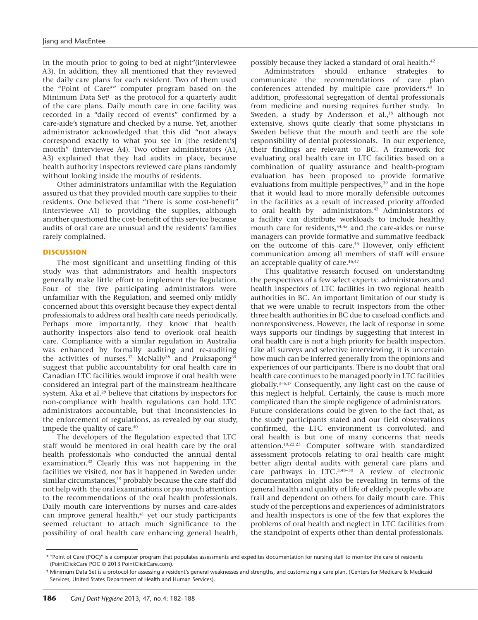in the mouth prior to going to bed at night"(interviewee A3). In addition, they all mentioned that they reviewed the daily care plans for each resident. Two of them used the "Point of Care\*" computer program based on the Minimum Data Set**†** as the protocol for a quarterly audit of the care plans. Daily mouth care in one facility was recorded in a "daily record of events" confirmed by a care-aide's signature and checked by a nurse. Yet, another administrator acknowledged that this did "not always correspond exactly to what you see in [the resident's] mouth" (interviewee A4). Two other administrators (A1, A3) explained that they had audits in place, because health authority inspectors reviewed care plans randomly without looking inside the mouths of residents.

Other administrators unfamiliar with the Regulation assured us that they provided mouth care supplies to their residents. One believed that "there is some cost-benefit" (interviewee A1) to providing the supplies, although another questioned the cost-benefit of this service because audits of oral care are unusual and the residents' families rarely complained.

## **DISCUSSION**

The most significant and unsettling finding of this study was that administrators and health inspectors generally make little effort to implement the Regulation. Four of the five participating administrators were unfamiliar with the Regulation, and seemed only mildly concerned about this oversight because they expect dental professionals to address oral health care needs periodically. Perhaps more importantly, they know that health authority inspectors also tend to overlook oral health care. Compliance with a similar regulation in Australia was enhanced by formally auditing and re-auditing the activities of nurses.<sup>37</sup> McNally<sup>38</sup> and Pruksapong<sup>39</sup> suggest that public accountability for oral health care in Canadian LTC facilities would improve if oral health were considered an integral part of the mainstream healthcare system. Aka et al.<sup>29</sup> believe that citations by inspectors for non-compliance with health regulations can hold LTC administrators accountable, but that inconsistencies in the enforcement of regulations, as revealed by our study, impede the quality of care.<sup>40</sup>

The developers of the Regulation expected that LTC staff would be mentored in oral health care by the oral health professionals who conducted the annual dental examination.32 Clearly this was not happening in the facilities we visited, nor has it happened in Sweden under similar circumstances,<sup>15</sup> probably because the care staff did not help with the oral examinations or pay much attention to the recommendations of the oral health professionals. Daily mouth care interventions by nurses and care-aides can improve general health,<sup>41</sup> yet our study participants seemed reluctant to attach much significance to the possibility of oral health care enhancing general health, possibly because they lacked a standard of oral health.42

Administrators should enhance strategies to communicate the recommendations of care plan conferences attended by multiple care providers.40 In addition, professional segregation of dental professionals from medicine and nursing requires further study. In Sweden, a study by Andersson et al.,<sup>18</sup> although not extensive, shows quite clearly that some physicians in Sweden believe that the mouth and teeth are the sole responsibility of dental professionals. In our experience, their findings are relevant to BC. A framework for evaluating oral health care in LTC facilities based on a combination of quality assurance and health-program evaluation has been proposed to provide formative evaluations from multiple perspectives,<sup>39</sup> and in the hope that it would lead to more morally defensible outcomes in the facilities as a result of increased priority afforded to oral health by administrators.<sup>43</sup> Administrators of a facility can distribute workloads to include healthy mouth care for residents,<sup>44,45</sup> and the care-aides or nurse managers can provide formative and summative feedback on the outcome of this care.<sup>46</sup> However, only efficient communication among all members of staff will ensure an acceptable quality of care.<sup>46,47</sup>

This qualitative research focused on understanding the perspectives of a few select experts: administrators and health inspectors of LTC facilities in two regional health authorities in BC. An important limitation of our study is that we were unable to recruit inspectors from the other three health authorities in BC due to caseload conflicts and nonresponsiveness. However, the lack of response in some ways supports our findings by suggesting that interest in oral health care is not a high priority for health inspectors. Like all surveys and selective interviewing, it is uncertain how much can be inferred generally from the opinions and experiences of our participants. There is no doubt that oral health care continues to be managed poorly in LTC facilities globally.3–6,17 Consequently, any light cast on the cause of this neglect is helpful. Certainly, the cause is much more complicated than the simple negligence of administrators. Future considerations could be given to the fact that, as the study participants stated and our field observations confirmed, the LTC environment is convoluted, and oral health is but one of many concerns that needs attention.10,22,23 Computer software with standardized assessment protocols relating to oral health care might better align dental audits with general care plans and care pathways in LTC.3,48–50 A review of electronic documentation might also be revealing in terms of the general health and quality of life of elderly people who are frail and dependent on others for daily mouth care. This study of the perceptions and experiences of administrators and health inspectors is one of the few that explores the problems of oral health and neglect in LTC facilities from the standpoint of experts other than dental professionals.

<sup>\* &</sup>quot;Point of Care (POC)" is a computer program that populates assessments and expedites documentation for nursing staff to monitor the care of residents (PointClickCare POC © 2013 PointClickCare.com).

**<sup>†</sup>** Minimum Data Set is a protocol for assessing a resident's general weaknesses and strengths, and customizing a care plan. (Centers for Medicare & Medicaid Services, United States Department of Health and Human Services).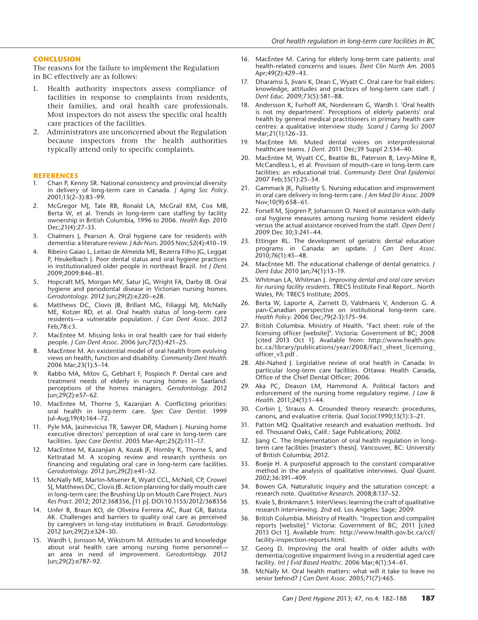#### **CONCLUSION**

The reasons for the failure to implement the Regulation in BC effectively are as follows:

- 1. Health authority inspectors assess compliance of facilities in response to complaints from residents, their families, and oral health care professionals. Most inspectors do not assess the specific oral health care practices of the facilities.
- 2. Administrators are unconcerned about the Regulation because inspectors from the health authorities typically attend only to specific complaints.

#### **REFERENCES**

- 1. Chan P, Kenny SR. National consistency and provincial diversity in delivery of long-term care in Canada. *J Aging Soc Policy*. 2001;13(2–3):83–99.
- 2. McGregor MJ, Tate RB, Ronald LA, McGrail KM, Cox MB, Berta W, et al. Trends in long-term care staffing by facility ownership in British Columbia, 1996 to 2006. *Health Rep.* 2010 Dec;21(4):27–33.
- 3. Chalmers J, Pearson A. Oral hygiene care for residents with dementia: a literature review. *J Adv Nurs*. 2005 Nov;52(4):410–19.
- 4. Ribeiro Gaiao L, Leitao de Almeida ME, Bezerra Filho JG, Leggat P, Heukelbach J. Poor dental status and oral hygiene practices in institutionalized older people in northeast Brazil. *Int J Dent*. 2009;2009:846–81.
- 5. Hopcraft MS, Morgan MV, Satur JG, Wright FA, Darby IB. Oral hygiene and periodontal disease in Victorian nursing homes. *Gerodontology*. 2012 Jun;29(2):e220–e28.
- 6. Matthews DC, Clovis JB, Brillant MG, Filiaggi MJ, McNally ME, Kotzer RD, et al. Oral health status of long-term care residents—a vulnerable population. *J Can Dent Assoc.* 2012 Feb;78:c3.
- 7. MacEntee M. Missing links in oral health care for frail elderly people. *J Can Dent Assoc*. 2006 Jun;72(5):421–25.
- 8. MacEntee M. An existential model of oral health from evolving views on health, function and disability. *Community Dent Health*. 2006 Mar;23(1):5–14.
- 9. Rabbo MA, Mitov G, Gebhart F, Pospiech P. Dental care and treatment needs of elderly in nursing homes in Saarland: perceptions of the homes managers. *Gerodontology*. 2012 Jun;29(2):e57–62.
- 10. MacEntee M, Thorne S, Kazanjian A. Conflicting priorities: oral health in long-term care. *Spec Care Dentist.* 1999 Jul-Aug;19(4):164–72.
- 11. Pyle MA, Jasinevicius TR, Sawyer DR, Madsen J. Nursing home executive directors' perception of oral care in long-term care facilities. *Spec Care Dentist*. 2005 Mar-Apr;25(2):111–17.
- 12. MacEntee M, Kazanjian A, Kozak JF, Hornby K, Thorne S, and Kettratad M. A scoping review and research synthesis on financing and regulating oral care in long-term care facilities. *Gerodontology*. 2012 Jun;29(2):e41–52.
- 13. McNally ME, Martin-Misener R, Wyatt CCL, McNeil, CP, Crowel SJ, Matthews DC, Clovis JB. Action planning for daily mouth care in long-term care: the Brushing Up on Mouth Care Project. *Nurs Res Pract*. 2012; 2012:368356, [11 p]. DOI:10.1155/2012/368356
- 14. Unfer B, Braun KO, de Oliveira Ferreira AC, Ruat GR, Batista AK. Challenges and barriers to quality oral care as perceived by caregivers in long-stay institutions in Brazil. *Gerodontology*. 2012 Jun;29(2):e324–30.
- 15. Wardh I, Jonsson M, Wikstrom M. Attitudes to and knowledge about oral health care among nursing home personnel an area in need of improvement. *Gerodontology*. 2012 Jun;29(2):e787–92.
- 16. MacEntee M. Caring for elderly long-term care patients: oral health-related concerns and issues. *Dent Clin North Am*. 2005 Apr;49(2):429–43.
- 17. Dharamsi S, Jivani K, Dean C, Wyatt C. Oral care for frail elders: knowledge, attitudes and practices of long-term care staff. *J Dent Educ*. 2009;73(5):581–88.
- 18. Andersson K, Furhoff AK, Nordenram G, Wardh I. 'Oral health is not my department'. Perceptions of elderly patients' oral health by general medical practitioners in primary health care centres: a qualitative interview study. *Scand J Caring Sci* 2007 Mar;21(1):126–33.
- 19. MacEntee MI. Muted dental voices on interprofessional healthcare teams. *J Dent*. 2011 Dec;39 Suppl 2:S34–40.
- 20. MacEntee M, Wyatt CC, Beattie BL, Paterson B, Levy-Milne R, McCandless L, et al. Provision of mouth-care in long-term care facilities: an educational trial. *Community Dent Oral Epidemiol*. 2007 Feb;35(1):25–34.
- 21. Gammack JK, Pulisetty S. Nursing education and improvement in oral care delivery in long-term care. *J Am Med Dir Assoc*. 2009 Nov;10(9):658–61.
- 22. Forsell M, Sjogren P, Johansson O. Need of assistance with daily oral hygiene measures among nursing home resident elderly versus the actual assistance received from the staff. *Open Dent J* 2009 Dec 30;3:241–44.
- 23. Ettinger RL. The development of geriatric dental education programs in Canada: an update. *J Can Dent Assoc*. 2010;76(1):45–48.
- 24. MacEntee MI. The educational challenge of dental geriatrics. *J Dent Educ* 2010 Jan;74(1):13–19.
- 25. Whitman LA, Whitman J. *Improving dental and oral care services for nursing facility residents*. TRECS Institute Final Report.. North Wales, PA: TRECS Institute; 2005.
- 26. Berta W, Laporte A, Zarnett D, Valdmanis V, Anderson G. A pan-Canadian perspective on institutional long-term care. *Health Policy.* 2006 Dec;79(2-3):175–94.
- 27. British Columbia. Ministry of Health. "Fact sheet: role of the licensing officer [website]". Victoria: Government of BC; 2008 [cited 2013 Oct 1]. Available from: http://www.health.gov. bc.ca/library/publications/year/2008/Fact\_sheet\_licensing officer\_v3.pdf .
- 28. Abi-Nahed J. Legislative review of oral health in Canada: In particular long-term care facilities. Ottawa: Health Canada, Office of the Chief Dental Officer; 2006.
- 29. Aka PC, Deason LM, Hammond A. Political factors and enforcement of the nursing home regulatory regime. *J Law & Health*. 2011;24(1):1–44.
- 30. Corbin J, Strauss A. Grounded theory research: procedures, canons, and evaluative criteria. *Qual Sociol*.1990;13(1):3–21.
- 31. Patton MQ. Qualitative research and evaluation methods. 3rd ed. Thousand Oaks, Calif.: Sage Publications; 2002.
- 32. Jiang C. The Implementation of oral health regulation in longterm care facilities [master's thesis]. Vancouver, BC: University of British Columbia; 2012.
- 33. Boeije H. A purposeful approach to the constant comparative method in the analysis of qualitative interviews. *Qual Quant*. 2002;36:391–409.
- 34. Bowen GA. Naturalistic inquiry and the saturation concept: a research note. *Qualitative Research*. 2008;8:137–52.
- 35. Kvale S, Brinkmann S. InterViews: learning the craft of qualitative research interviewing. 2nd ed. Los Angeles: Sage; 2009.
- 36. British Columbia. Ministry of Health. "Inspection and compalint reports [website]." Victoria: Government of BC; 2011 [cited 2013 Oct 1]. Available from: http://www.health.gov.bc.ca/ccf/ facility-inspection-reports.html.
- 37. Georg D. Improving the oral health of older adults with dementia/cognitive impairment living in a residential aged care facility. *Int J Evid Based Healthc*. 2006 Mar;4(1):54–61.
- 38. McNally M. Oral health matters: what will it take to leave no senior behind? *J Can Dent Assoc*. 2005;71(7):465.